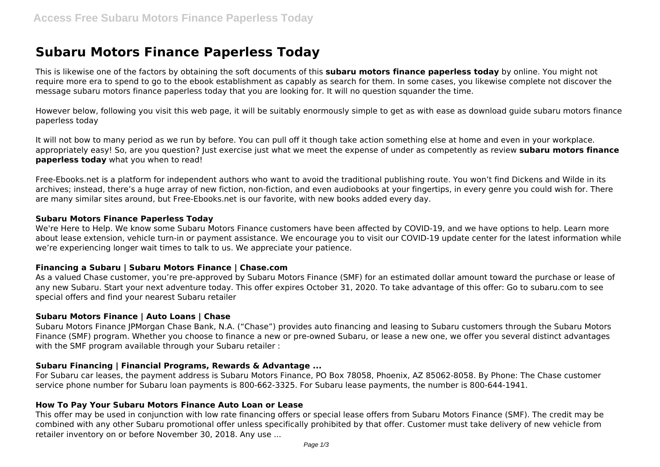# **Subaru Motors Finance Paperless Today**

This is likewise one of the factors by obtaining the soft documents of this **subaru motors finance paperless today** by online. You might not require more era to spend to go to the ebook establishment as capably as search for them. In some cases, you likewise complete not discover the message subaru motors finance paperless today that you are looking for. It will no question squander the time.

However below, following you visit this web page, it will be suitably enormously simple to get as with ease as download guide subaru motors finance paperless today

It will not bow to many period as we run by before. You can pull off it though take action something else at home and even in your workplace. appropriately easy! So, are you question? Just exercise just what we meet the expense of under as competently as review **subaru motors finance paperless today** what you when to read!

Free-Ebooks.net is a platform for independent authors who want to avoid the traditional publishing route. You won't find Dickens and Wilde in its archives; instead, there's a huge array of new fiction, non-fiction, and even audiobooks at your fingertips, in every genre you could wish for. There are many similar sites around, but Free-Ebooks.net is our favorite, with new books added every day.

#### **Subaru Motors Finance Paperless Today**

We're Here to Help. We know some Subaru Motors Finance customers have been affected by COVID-19, and we have options to help. Learn more about lease extension, vehicle turn-in or payment assistance. We encourage you to visit our COVID-19 update center for the latest information while we're experiencing longer wait times to talk to us. We appreciate your patience.

#### **Financing a Subaru | Subaru Motors Finance | Chase.com**

As a valued Chase customer, you're pre-approved by Subaru Motors Finance (SMF) for an estimated dollar amount toward the purchase or lease of any new Subaru. Start your next adventure today. This offer expires October 31, 2020. To take advantage of this offer: Go to subaru.com to see special offers and find your nearest Subaru retailer

# **Subaru Motors Finance | Auto Loans | Chase**

Subaru Motors Finance JPMorgan Chase Bank, N.A. ("Chase") provides auto financing and leasing to Subaru customers through the Subaru Motors Finance (SMF) program. Whether you choose to finance a new or pre-owned Subaru, or lease a new one, we offer you several distinct advantages with the SMF program available through your Subaru retailer :

#### **Subaru Financing | Financial Programs, Rewards & Advantage ...**

For Subaru car leases, the payment address is Subaru Motors Finance, PO Box 78058, Phoenix, AZ 85062-8058. By Phone: The Chase customer service phone number for Subaru loan payments is 800-662-3325. For Subaru lease payments, the number is 800-644-1941.

#### **How To Pay Your Subaru Motors Finance Auto Loan or Lease**

This offer may be used in conjunction with low rate financing offers or special lease offers from Subaru Motors Finance (SMF). The credit may be combined with any other Subaru promotional offer unless specifically prohibited by that offer. Customer must take delivery of new vehicle from retailer inventory on or before November 30, 2018. Any use ...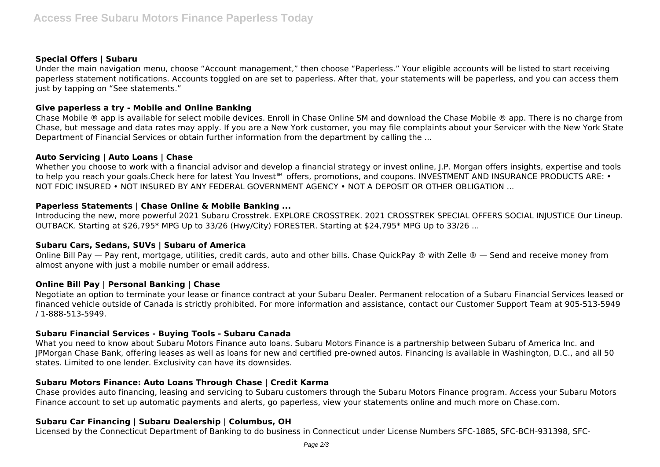#### **Special Offers | Subaru**

Under the main navigation menu, choose "Account management," then choose "Paperless." Your eligible accounts will be listed to start receiving paperless statement notifications. Accounts toggled on are set to paperless. After that, your statements will be paperless, and you can access them just by tapping on "See statements."

# **Give paperless a try - Mobile and Online Banking**

Chase Mobile ® app is available for select mobile devices. Enroll in Chase Online SM and download the Chase Mobile ® app. There is no charge from Chase, but message and data rates may apply. If you are a New York customer, you may file complaints about your Servicer with the New York State Department of Financial Services or obtain further information from the department by calling the ...

# **Auto Servicing | Auto Loans | Chase**

Whether you choose to work with a financial advisor and develop a financial strategy or invest online, J.P. Morgan offers insights, expertise and tools to help you reach your goals.Check here for latest You Invest™ offers, promotions, and coupons. INVESTMENT AND INSURANCE PRODUCTS ARE: • NOT FDIC INSURED • NOT INSURED BY ANY FEDERAL GOVERNMENT AGENCY • NOT A DEPOSIT OR OTHER OBLIGATION ...

# **Paperless Statements | Chase Online & Mobile Banking ...**

Introducing the new, more powerful 2021 Subaru Crosstrek. EXPLORE CROSSTREK. 2021 CROSSTREK SPECIAL OFFERS SOCIAL INJUSTICE Our Lineup. OUTBACK. Starting at \$26,795\* MPG Up to 33/26 (Hwy/City) FORESTER. Starting at \$24,795\* MPG Up to 33/26 ...

#### **Subaru Cars, Sedans, SUVs | Subaru of America**

Online Bill Pay — Pay rent, mortgage, utilities, credit cards, auto and other bills. Chase QuickPay ® with Zelle ® — Send and receive money from almost anyone with just a mobile number or email address.

# **Online Bill Pay | Personal Banking | Chase**

Negotiate an option to terminate your lease or finance contract at your Subaru Dealer. Permanent relocation of a Subaru Financial Services leased or financed vehicle outside of Canada is strictly prohibited. For more information and assistance, contact our Customer Support Team at 905-513-5949 / 1-888-513-5949.

#### **Subaru Financial Services - Buying Tools - Subaru Canada**

What you need to know about Subaru Motors Finance auto loans. Subaru Motors Finance is a partnership between Subaru of America Inc. and JPMorgan Chase Bank, offering leases as well as loans for new and certified pre-owned autos. Financing is available in Washington, D.C., and all 50 states. Limited to one lender. Exclusivity can have its downsides.

# **Subaru Motors Finance: Auto Loans Through Chase | Credit Karma**

Chase provides auto financing, leasing and servicing to Subaru customers through the Subaru Motors Finance program. Access your Subaru Motors Finance account to set up automatic payments and alerts, go paperless, view your statements online and much more on Chase.com.

## **Subaru Car Financing | Subaru Dealership | Columbus, OH**

Licensed by the Connecticut Department of Banking to do business in Connecticut under License Numbers SFC-1885, SFC-BCH-931398, SFC-